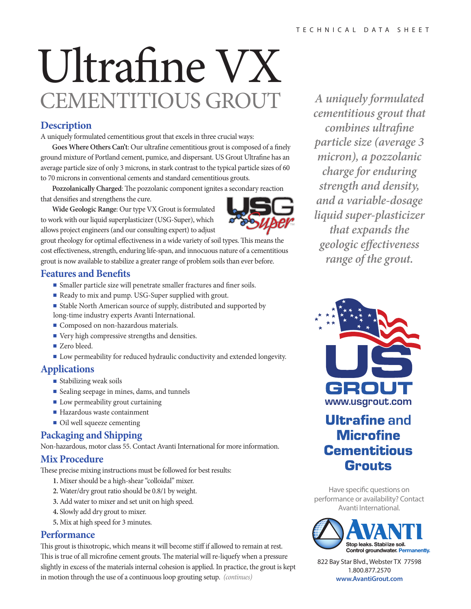# Ultrafine VX CEMENTITIOUS GROUT *A uniquely formulated*

# **Description**

A uniquely formulated cementitious grout that excels in three crucial ways:

Goes Where Others Can't: Our ultrafine cementitious grout is composed of a finely ground mixture of Portland cement, pumice, and dispersant. US Grout Ultrafine has an average particle size of only 3 microns, in stark contrast to the typical particle sizes of 60 to 70 microns in conventional cements and standard cementitious grouts.

Pozzolanically Charged: The pozzolanic component ignites a secondary reaction that densifies and strengthens the cure.

**Wide Geologic Range**: Our type VX Grout is formulated to work with our liquid superplasticizer (USG-Super), which allows project engineers (and our consulting expert) to adjust

grout rheology for optimal effectiveness in a wide variety of soil types. This means the cost effectiveness, strength, enduring life-span, and innocuous nature of a cementitious grout is now available to stabilize a greater range of problem soils than ever before.

#### **Features and Benets**

- Smaller particle size will penetrate smaller fractures and finer soils.
- Ready to mix and pump. USG-Super supplied with grout.
- Stable North American source of supply, distributed and supported by long-time industry experts Avanti International.
- Composed on non-hazardous materials.
- Very high compressive strengths and densities.
- Zero bleed.
- Low permeability for reduced hydraulic conductivity and extended longevity.

## **Applications**

- Stabilizing weak soils
- Sealing seepage in mines, dams, and tunnels
- Low permeability grout curtaining
- Hazardous waste containment
- Oil well squeeze cementing

# **Packaging and Shipping**

Non-hazardous, motor class 55. Contact Avanti International for more information.

## **Mix Procedure**

These precise mixing instructions must be followed for best results:

- **1.** Mixer should be a high-shear "colloidal" mixer.
- **2.** Water/dry grout ratio should be 0.8/1 by weight.
- **3.** Add water to mixer and set unit on high speed.
- **4.** Slowly add dry grout to mixer.
- **5.** Mix at high speed for 3 minutes.

## **Performance**

This grout is thixotropic, which means it will become stiff if allowed to remain at rest. This is true of all microfine cement grouts. The material will re-liquefy when a pressure slightly in excess of the materials internal cohesion is applied. In practice, the grout is kept in motion through the use of a continuous loop grouting setup. *(continues)*

*cementitious grout that combines ultrafine particle size (average 3 micron), a pozzolanic charge for enduring strength and density, and a variable-dosage liquid super-plasticizer that expands the geologic eectiveness range of the grout.*



# **Ultrafine and Microfine Cementitious Grouts**

Have specific questions on performance or availability? Contact Avanti International.



822 Bay Star Blvd., Webster TX 77598 1.800.877.2570 **www.AvantiGrout.com**